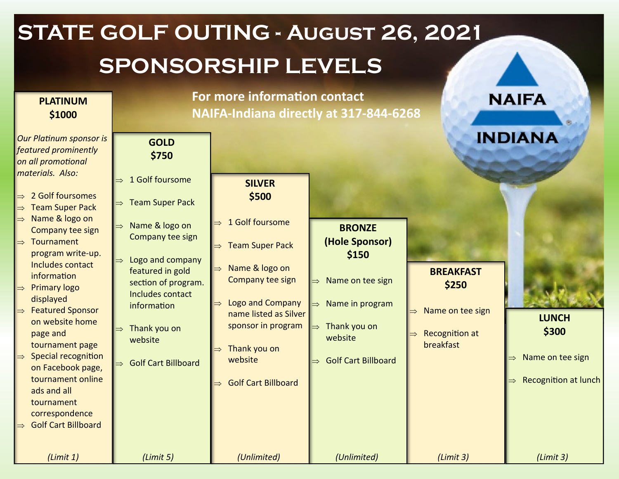| <b>STATE GOLF OUTING - AUGUST 26, 2021</b> |                                                                                                                                                                                                                                                                                                                                  |                                                                                                                                                                                            |                                                                                                                                      |                                                                          |                                                        |                                                                          |  |  |  |
|--------------------------------------------|----------------------------------------------------------------------------------------------------------------------------------------------------------------------------------------------------------------------------------------------------------------------------------------------------------------------------------|--------------------------------------------------------------------------------------------------------------------------------------------------------------------------------------------|--------------------------------------------------------------------------------------------------------------------------------------|--------------------------------------------------------------------------|--------------------------------------------------------|--------------------------------------------------------------------------|--|--|--|
|                                            | <b>SPONSORSHIP LEVELS</b>                                                                                                                                                                                                                                                                                                        |                                                                                                                                                                                            |                                                                                                                                      |                                                                          |                                                        |                                                                          |  |  |  |
|                                            | <b>PLATINUM</b><br>\$1000                                                                                                                                                                                                                                                                                                        | For more information contact<br>NAIFA-Indiana directly at 317-844-6268                                                                                                                     | <b>NAIFA</b>                                                                                                                         |                                                                          |                                                        |                                                                          |  |  |  |
|                                            | <b>Our Platinum sponsor is</b><br>featured prominently<br>on all promotional<br>materials. Also:<br>2 Golf foursomes<br><b>Team Super Pack</b><br>Name & logo on<br>$\Rightarrow$<br>Company tee sign<br>Tournament<br>$\Rightarrow$<br>program write-up.<br>Includes contact<br>information<br><b>Primary logo</b><br>displayed | <b>GOLD</b><br>\$750<br>1 Golf foursome<br><b>Team Super Pack</b><br>Name & logo on<br>Company tee sign<br>Logo and company<br>featured in gold<br>section of program.<br>Includes contact | <b>SILVER</b><br>\$500<br>1 Golf foursome<br><b>Team Super Pack</b><br>Name & logo on<br>Company tee sign<br><b>Logo and Company</b> | <b>BRONZE</b><br>(Hole Sponsor)<br>\$150<br>Name on tee sign             | <b>BREAKFAST</b><br>\$250                              | <b>INDIANA</b>                                                           |  |  |  |
|                                            | <b>Featured Sponsor</b><br>on website home<br>page and<br>tournament page<br>Special recognition<br>on Facebook page,<br>tournament online<br>ads and all<br>tournament<br>correspondence<br><b>Golf Cart Billboard</b>                                                                                                          | information<br>Thank you on<br>website<br><b>Golf Cart Billboard</b>                                                                                                                       | name listed as Silver<br>sponsor in program<br>Thank you on<br>website<br><b>Golf Cart Billboard</b>                                 | Name in program<br>Thank you on<br>website<br><b>Golf Cart Billboard</b> | Name on tee sign<br><b>Recognition at</b><br>breakfast | <b>LUNCH</b><br>\$300<br>Name on tee sign<br><b>Recognition at lunch</b> |  |  |  |
|                                            | (Limit 1)                                                                                                                                                                                                                                                                                                                        | (Limit 5)                                                                                                                                                                                  | (Unlimited)                                                                                                                          | (Unlimited)                                                              | (Limit 3)                                              | (Limit 3)                                                                |  |  |  |